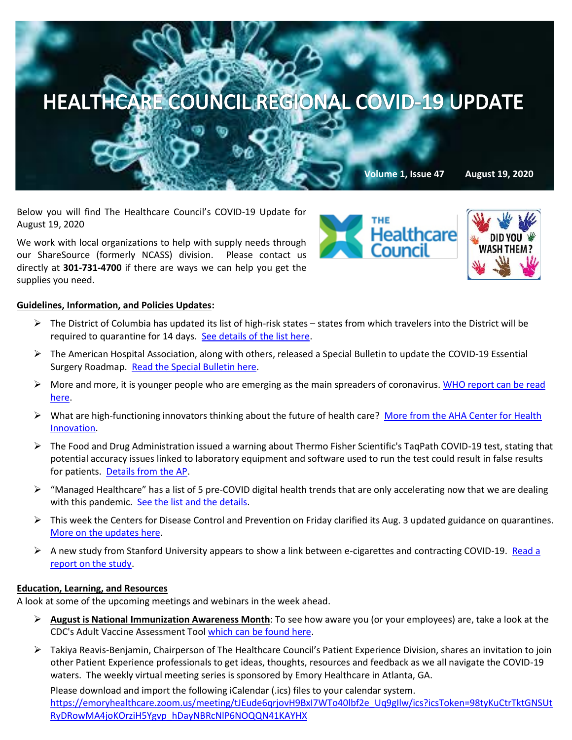

Below you will find The Healthcare Council's COVID-19 Update for August 19, 2020

We work with local organizations to help with supply needs through our ShareSource (formerly NCASS) division. Please contact us directly at **301-731-4700** if there are ways we can help you get the supplies you need.

# **Healthcare**



## **Guidelines, Information, and Policies Updates:**

- $\triangleright$  The District of Columbia has updated its list of high-risk states states from which travelers into the District will be required to quarantine for 14 days. [See details of the list here.](https://coronavirus.dc.gov/release/dc-health-releases-updated-list-high-risk-states)
- ➢ The American Hospital Association, along with others, released a Special Bulletin to update the COVID-19 Essential Surgery Roadmap. [Read the Special Bulletin here.](https://contentsharing.net/actions/email_web_version.cfm?ep=Bdhtp-zVuqFkgQiV6-lxty0f-nrLBJWzuTngPvD-5dWgduSFj3_Cn8MlqwaFu5A30_ONk9Hv34kZpGgqe7j5ruOZHS5_8p4R_DzrWo3Vkt9YbAG4lgxFSKc_V5graGQQ)
- ➢ More and more, it is younger people who are emerging as the main spreaders of coronavirus. [WHO report can be read](https://www.washingtonpost.com/health/who-warns-young-people-are-emerging-as-main-spreaders-of-the-coronavirus/2020/08/18/1822ee92-e18f-11ea-b69b-64f7b0477ed4_story.html)  [here.](https://www.washingtonpost.com/health/who-warns-young-people-are-emerging-as-main-spreaders-of-the-coronavirus/2020/08/18/1822ee92-e18f-11ea-b69b-64f7b0477ed4_story.html)
- ➢ What are high-functioning innovators thinking about the future of health care? [More from the AHA Center for Health](https://contentsharing.net/actions/email_web_version.cfm?ep=Bdhtp-zVuqFkgQiV6-lxty0f-nrLBJWzuTngPvD-5dVpZpReItATZxnTQfEq1L7uhMn5TuFN5-jSnrBHuwxwu_tvB9aOcZbuNvet2eV34sgsZlT2941knCRHUc_Fo6gZ)  [Innovation.](https://contentsharing.net/actions/email_web_version.cfm?ep=Bdhtp-zVuqFkgQiV6-lxty0f-nrLBJWzuTngPvD-5dVpZpReItATZxnTQfEq1L7uhMn5TuFN5-jSnrBHuwxwu_tvB9aOcZbuNvet2eV34sgsZlT2941knCRHUc_Fo6gZ)
- ➢ The Food and Drug Administration issued a warning about Thermo Fisher Scientific's TaqPath COVID-19 test, stating that potential accuracy issues linked to laboratory equipment and software used to run the test could result in false results for patients. [Details from the AP.](https://apnews.com/520a6d47fd5d847c5046b781e77cd99d?mkt_tok=eyJpIjoiWmpFNU16RXhPV1poWm1RNSIsInQiOiJQY2FmcGZHdHpUbVdvUTc4K1wvQ0d6dDlGWnhRT01DYldZVURJTGczU0pxTWVMNWR3YmhBZDFjWUJjZ0VLdHpzbG5nR2xGbkQzR2YrK01Pb2tPdEo5RUIreXVURGZNZkNiRGk5MVVFTHZiVFhiM2RXRTVYSjFjSXlBWnc0XC82VUhTIn0=)
- $\triangleright$  "Managed Healthcare" has a list of 5 pre-COVID digital health trends that are only accelerating now that we are dealing with this pandemic. [See the list and the details.](https://www.managedhealthcareexecutive.com/view/five-digital-health-trends-that-emerged-before-covid-19-have-since-accelerated?eKey=bHBpdHRvbkBoZWFsdGhjYXJlLWNvdW5jaWwub3Jn)
- $\triangleright$  This week the Centers for Disease Control and Prevention on Friday clarified its Aug. 3 updated guidance on quarantines. [More on the updates here.](https://www.cnbc.com/2020/08/15/cdc-guidance-does-not-imply-immunity-to-coronavirus-for-3-months.html?mkt_tok=eyJpIjoiWW1GallUazBOVFEyTXpJeCIsInQiOiJzRkY0VG5STzVTQTM4MlF3UGxUMFFZYTZpWHhWRGlaVk1jV0xhMkVzU2dVRTUyXC8xRmpJaVlRMDVRdm9GSXVTTDhIRkVWUFo5Q3JhRG9FV21BS1RnOXl1ZWJKZ3V0R0pKYXJ1UDJBK2s2b0JZYzZldDU1SkJxSlo4eGVFZHBIV24ifQ==)
- $\triangleright$  A new study from Stanford University appears to show a link between e-cigarettes and contracting COVID-19. Read a [report on the study.](https://www.nbcnews.com/health/vaping/teen-vapers-7-times-more-likely-get-covid-19-non-n1236383?mkt_tok=eyJpIjoiTVROaE4yRmxNbVk0TVdJMCIsInQiOiI2YUFWMURMcVRcL2hrbHFtV2dOa1h6OFdrejMxT1ROMWhMY0xDaVU2MnhmSDZPRnduU3RqQ3dKYURkZStrdlRnc2h3XC9OUElBeW9SbGtHZytab0EyRldta3Z5a2hzTzBGdWxiRzA4OXNLQlhlQjU0eWRwamVcL3JxTG9QMUlZcnpxcyJ9)

#### **Education, Learning, and Resources**

A look at some of the upcoming meetings and webinars in the week ahead.

- ➢ **August is National Immunization Awareness Month**: To see how aware you (or your employees) are, take a look at the CDC's Adult Vaccine Assessment Too[l which can be found here.](https://www2.cdc.gov/nip/adultimmsched/)
- ➢ Takiya Reavis-Benjamin, Chairperson of The Healthcare Council's Patient Experience Division, shares an invitation to join other Patient Experience professionals to get ideas, thoughts, resources and feedback as we all navigate the COVID-19 waters. The weekly virtual meeting series is sponsored by Emory Healthcare in Atlanta, GA.

Please download and import the following iCalendar (.ics) files to your calendar system. [https://emoryhealthcare.zoom.us/meeting/tJEude6qrjovH9BxI7WTo40lbf2e\\_Uq9gIlw/ics?icsToken=98tyKuCtrTktGNSUt](https://emoryhealthcare.zoom.us/meeting/tJEude6qrjovH9BxI7WTo40lbf2e_Uq9gIlw/ics?icsToken=98tyKuCtrTktGNSUtRyDRowMA4joKOrziH5Ygvp_hDayNBRcNlP6NOQQN41KAYHX) [RyDRowMA4joKOrziH5Ygvp\\_hDayNBRcNlP6NOQQN41KAYHX](https://emoryhealthcare.zoom.us/meeting/tJEude6qrjovH9BxI7WTo40lbf2e_Uq9gIlw/ics?icsToken=98tyKuCtrTktGNSUtRyDRowMA4joKOrziH5Ygvp_hDayNBRcNlP6NOQQN41KAYHX)